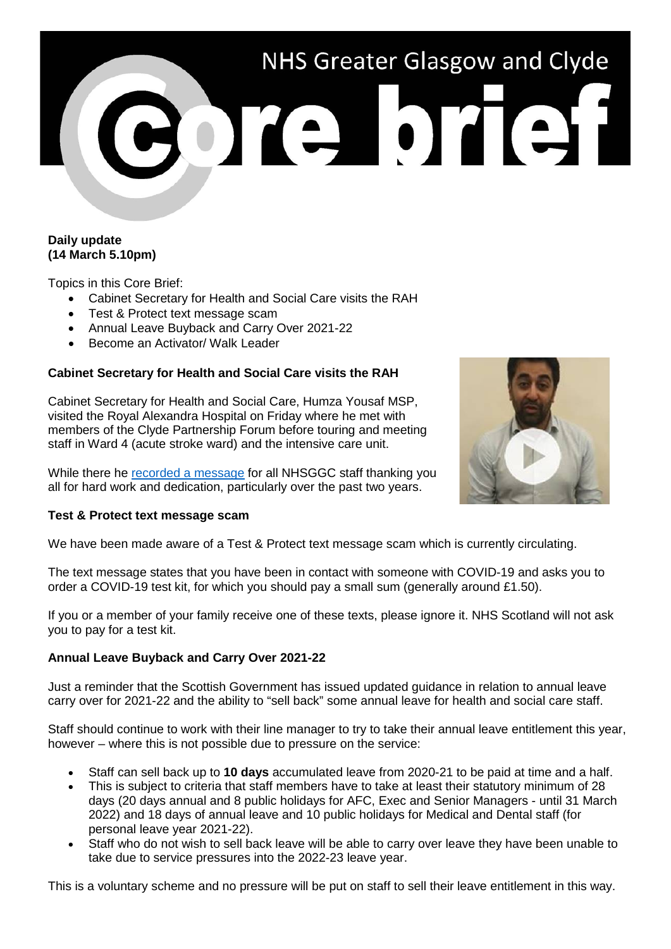# NHS Greater Glasgow and Clyde ore brief

## **Daily update (14 March 5.10pm)**

Topics in this Core Brief:

- Cabinet Secretary for Health and Social Care visits the RAH
- Test & Protect text message scam
- Annual Leave Buyback and Carry Over 2021-22
- Become an Activator/ Walk Leader

# **Cabinet Secretary for Health and Social Care visits the RAH**

Cabinet Secretary for Health and Social Care, Humza Yousaf MSP, visited the Royal Alexandra Hospital on Friday where he met with members of the Clyde Partnership Forum before touring and meeting staff in Ward 4 (acute stroke ward) and the intensive care unit.

While there he [recorded a message](https://www.youtube.com/watch?v=0awQD0OVBPg) for all NHSGGC staff thanking you all for hard work and dedication, particularly over the past two years.



#### **Test & Protect text message scam**

We have been made aware of a Test & Protect text message scam which is currently circulating.

The text message states that you have been in contact with someone with COVID-19 and asks you to order a COVID-19 test kit, for which you should pay a small sum (generally around £1.50).

If you or a member of your family receive one of these texts, please ignore it. NHS Scotland will not ask you to pay for a test kit.

## **Annual Leave Buyback and Carry Over 2021-22**

Just a reminder that the Scottish Government has issued updated guidance in relation to annual leave carry over for 2021-22 and the ability to "sell back" some annual leave for health and social care staff.

Staff should continue to work with their line manager to try to take their annual leave entitlement this year, however – where this is not possible due to pressure on the service:

- Staff can sell back up to **10 days** accumulated leave from 2020-21 to be paid at time and a half.
- This is subject to criteria that staff members have to take at least their statutory minimum of 28 days (20 days annual and 8 public holidays for AFC, Exec and Senior Managers - until 31 March 2022) and 18 days of annual leave and 10 public holidays for Medical and Dental staff (for personal leave year 2021-22).
- Staff who do not wish to sell back leave will be able to carry over leave they have been unable to take due to service pressures into the 2022-23 leave year.

This is a voluntary scheme and no pressure will be put on staff to sell their leave entitlement in this way.